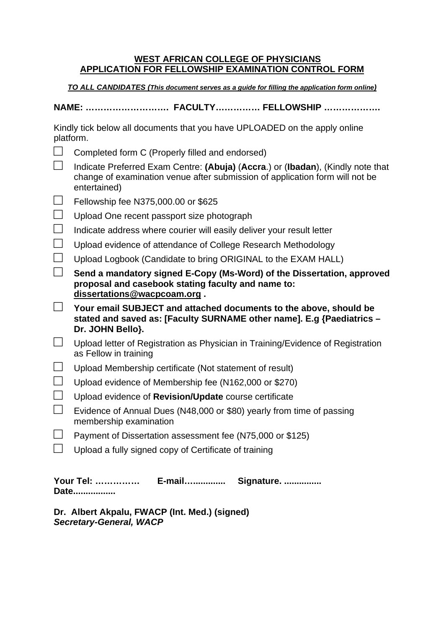## **WEST AFRICAN COLLEGE OF PHYSICIANS APPLICATION FOR FELLOWSHIP EXAMINATION CONTROL FORM**

**TO ALL CANDIDATES (This document serves as a guide for filling the application form online)** 

**NAME: ………………………. FACULTY…………… FELLOWSHIP ……………….** 

| Kindly tick below all documents that you have UPLOADED on the apply online |  |
|----------------------------------------------------------------------------|--|
| platform.                                                                  |  |

|  | Completed form C (Properly filled and endorsed) |  |
|--|-------------------------------------------------|--|

- □ Indicate Preferred Exam Centre: **(Abuja)** (**Accra**.) or (**Ibadan**), (Kindly note that change of examination venue after submission of application form will not be entertained)
- $\Box$  Fellowship fee N375,000.00 or \$625
- $\Box$  Upload One recent passport size photograph
- $\Box$  Indicate address where courier will easily deliver your result letter
- $\Box$  Upload evidence of attendance of College Research Methodology
- $\Box$  Upload Logbook (Candidate to bring ORIGINAL to the EXAM HALL)
- □ **Send a mandatory signed E-Copy (Ms-Word) of the Dissertation, approved proposal and casebook stating faculty and name to: dissertations@wacpcoam.org .**
- □ **Your email SUBJECT and attached documents to the above, should be stated and saved as: [Faculty SURNAME other name]. E.g {Paediatrics – Dr. JOHN Bello}.**
- $\Box$  Upload letter of Registration as Physician in Training/Evidence of Registration as Fellow in training
- $\Box$  Upload Membership certificate (Not statement of result)
- $\Box$  Upload evidence of Membership fee (N162,000 or \$270)
- □ Upload evidence of **Revision/Update** course certificate
- $\Box$  Evidence of Annual Dues (N48,000 or \$80) yearly from time of passing membership examination
- $\Box$  Payment of Dissertation assessment fee (N75,000 or \$125)
- $\Box$  Upload a fully signed copy of Certificate of training

**Your Tel: …………… E-mail…............. Signature. ............... Date.................** 

**Dr. Albert Akpalu, FWACP (Int. Med.) (signed) Secretary-General, WACP**